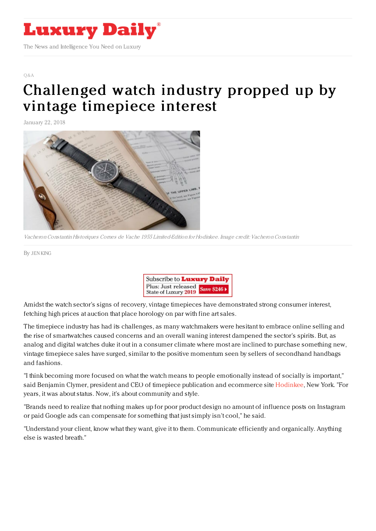

 $\bigcap$   $\&$   $\triangle$ 

## [Challenged](https://www.luxurydaily.com/challenged-watch-industry-propped-up-by-vintage-timepiece-interest/) watch industry propped up by vintage timepiece interest

January 22, 2018



VacheronConstantin Historiques Cornes de Vache 1955 Limited-Edition for Hodinkee. Image credit: VacheronConstantin

By JEN [KING](file:///author/jen-king)



Amidst the watch sector's signs of recovery, vintage timepieces have demonstrated strong consumer interest, fetching high prices at auction that place horology on par with fine art sales.

The timepiece industry has had its challenges, as many watchmakers were hesitant to embrace online selling and the rise of smartwatches caused concerns and an overall waning interest dampened the sector's spirits. But, as analog and digital watches duke it out in a consumer climate where most are inclined to purchase something new, vintage timepiece sales have surged, similar to the positive momentum seen by sellers of secondhand handbags and fashions.

"I think becoming more focused on what the watch means to people emotionally instead of socially is important," said Benjamin Clymer, president and CEO of timepiece publication and ecommerce site [Hodinkee](http://www.hodinkee.com), New York. "For years, it was about status. Now, it's about community and style.

"Brands need to realize that nothing makes up for poor product design no amount of influence posts on Instagram or paid Google ads can compensate for something that just simply isn't cool," he said.

"Understand your client, know what they want, give it to them. Communicate efficiently and organically. Anything else is wasted breath."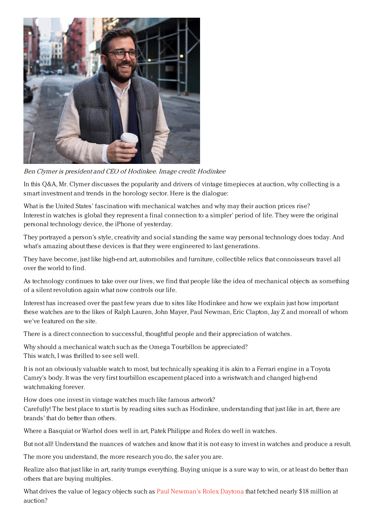

Ben Clymer is president and CEO of Hodinkee. Image credit: Hodinkee

In this Q&A, Mr. Clymer discusses the popularity and drivers of vintage timepieces at auction, why collecting is a smart investment and trends in the horology sector. Here is the dialogue:

What is the United States' fascination with mechanical watches and why may their auction prices rise? Interest in watches is global they represent a final connection to a simpler' period of life. They were the original personal technology device, the iPhone of yesterday.

They portrayed a person's style, creativity and social standing the same way personal technology does today. And what's amazing about these devices is that they were engineered to last generations.

They have become, just like high-end art, automobiles and furniture, collectible relics that connoisseurs travel all over the world to find.

As technology continues to take over our lives, we find that people like the idea of mechanical objects as something of a silent revolution again what now controls our life.

Interest has increased over the past few years due to sites like Hodinkee and how we explain just how important these watches are to the likes of Ralph Lauren, John Mayer, Paul Newman, Eric Clapton, Jay Z and moreall of whom we've featured on the site.

There is a direct connection to successful, thoughtful people and their appreciation of watches.

Why should a mechanical watch such as the Omega Tourbillon be appreciated? This watch, I was thrilled to see sell well.

It is not an obviously valuable watch to most, but technically speaking it is akin to a Ferrari engine in a Toyota Camry's body. It was the very first tourbillon escapement placed into a wristwatch and changed high-end watchmaking forever.

How does one invest in vintage watches much like famous artwork?

Carefully! The best place to start is by reading sites such as Hodinkee, understanding that just like in art, there are brands' that do better than others.

Where a Basquiat or Warhol does well in art, Patek Philippe and Rolex do well in watches.

But not all! Understand the nuances of watches and know that it is not easy to invest in watches and produce a result.

The more you understand, the more research you do, the safer you are.

Realize also that just like in art, rarity trumps everything. Buying unique is a sure way to win, or at least do better than others that are buying multiples.

What drives the value of legacy objects such as Paul [Newman's](http://money.cnn.com/2017/10/27/news/paul-newman-rolex-auction-record/index.html) Rolex Daytona that fetched nearly \$18 million at auction?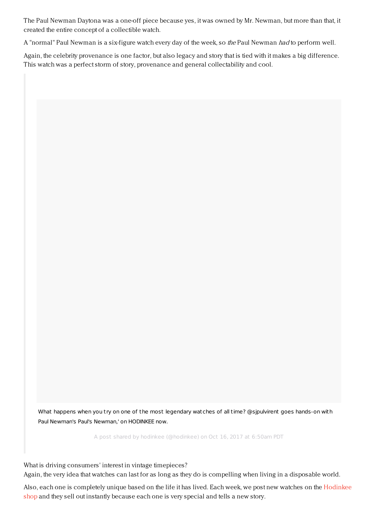The Paul Newman Daytona was a one-off piece because yes, it was owned by Mr. Newman, but more than that, it created the entire concept of a collectible watch.

A "normal" Paul Newman is a six-figure watch every day of the week, so the Paul Newman had to perform well.

Again, the celebrity provenance is one factor, but also legacy and story that is tied with it makes a big difference. This watch was a perfect storm of story, provenance and general collectability and cool.

What happens when you try on one of the most legendary watches of all time? [@sjpulvirent](https://www.instagram.com/p/BaT6nYPgUcf/) goes hands-on with Paul Newman's Paul's Newman,' on HODINKEE now.

A post shared by [hodinkee](https://www.instagram.com/hodinkee/) (@hodinkee) on Oct 16, 2017 at 6:50am PDT

What is driving consumers' interest in vintage timepieces? Again, the very idea that watches can last for as long as they do is compelling when living in a disposable world.

Also, each one is [completely](http://shop.hodinkee.com) unique based on the life it has lived. Each week, we post new watches on the Hodinkee shop and they sell out instantly because each one is very special and tells a new story.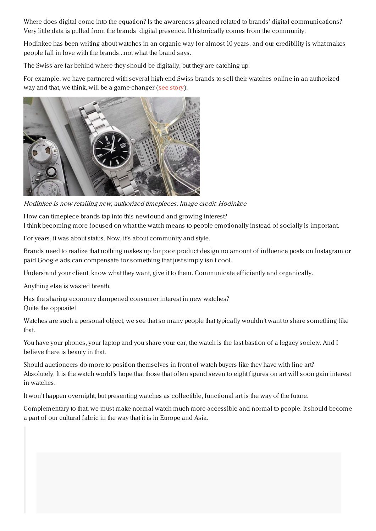Where does digital come into the equation? Is the awareness gleaned related to brands' digital communications? Very little data is pulled from the brands' digital presence. It historically comes from the community.

Hodinkee has been writing about watches in an organic way for almost 10 years, and our credibility is what makes people fall in love with the brands...not what the brand says.

The Swiss are far behind where they should be digitally, but they are catching up.

For example, we have partnered with several high-end Swiss brands to sell their watches online in an authorized way and that, we think, will be a game-changer (see [story](https://www.luxurydaily.com/zenith-vacheron-constantin-entrust-hodinkee-with-ecommerce/)).



Hodinkee is now retailing new, authorized timepieces. Image credit: Hodinkee

How can timepiece brands tap into this newfound and growing interest? I think becoming more focused on what the watch means to people emotionally instead of socially is important.

For years, it was about status. Now, it's about community and style.

Brands need to realize that nothing makes up for poor product design no amount of influence posts on Instagram or paid Google ads can compensate for something that just simply isn't cool.

Understand your client, know what they want, give it to them. Communicate efficiently and organically.

Anything else is wasted breath.

Has the sharing economy dampened consumer interest in new watches? Quite the opposite!

Watches are such a personal object, we see that so many people that typically wouldn't want to share something like that.

You have your phones, your laptop and you share your car, the watch is the last bastion of a legacy society. And I believe there is beauty in that.

Should auctioneers do more to position themselves in front of watch buyers like they have with fine art? Absolutely. It is the watch world's hope that those that often spend seven to eight figures on art will soon gain interest in watches.

It won't happen overnight, but presenting watches as collectible, functional art is the way of the future.

Complementary to that, we must make normal watch much more accessible and normal to people. It should become a part of our cultural fabric in the way that it is in Europe and Asia.